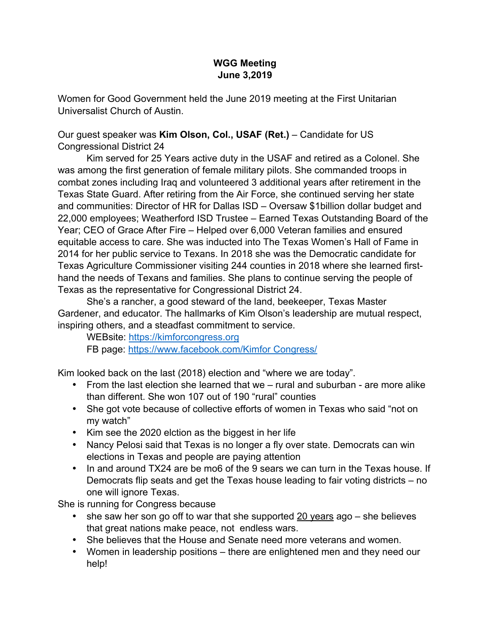#### **WGG Meeting June 3,2019**

Women for Good Government held the June 2019 meeting at the First Unitarian Universalist Church of Austin.

Our guest speaker was **Kim Olson, Col., USAF (Ret.)** – Candidate for US Congressional District 24

Kim served for 25 Years active duty in the USAF and retired as a Colonel. She was among the first generation of female military pilots. She commanded troops in combat zones including Iraq and volunteered 3 additional years after retirement in the Texas State Guard. After retiring from the Air Force, she continued serving her state and communities: Director of HR for Dallas ISD – Oversaw \$1billion dollar budget and 22,000 employees; Weatherford ISD Trustee – Earned Texas Outstanding Board of the Year; CEO of Grace After Fire – Helped over 6,000 Veteran families and ensured equitable access to care. She was inducted into The Texas Women's Hall of Fame in 2014 for her public service to Texans. In 2018 she was the Democratic candidate for Texas Agriculture Commissioner visiting 244 counties in 2018 where she learned firsthand the needs of Texans and families. She plans to continue serving the people of Texas as the representative for Congressional District 24.

She's a rancher, a good steward of the land, beekeeper, Texas Master Gardener, and educator. The hallmarks of Kim Olson's leadership are mutual respect, inspiring others, and a steadfast commitment to service.

WEBsite: https://kimforcongress.org FB page: https://www.facebook.com/Kimfor Congress/

Kim looked back on the last (2018) election and "where we are today".

- From the last election she learned that we rural and suburban are more alike than different. She won 107 out of 190 "rural" counties
- She got vote because of collective efforts of women in Texas who said "not on my watch"
- Kim see the 2020 elction as the biggest in her life
- Nancy Pelosi said that Texas is no longer a fly over state. Democrats can win elections in Texas and people are paying attention
- In and around TX24 are be mo6 of the 9 sears we can turn in the Texas house. If Democrats flip seats and get the Texas house leading to fair voting districts – no one will ignore Texas.

She is running for Congress because

- she saw her son go off to war that she supported 20 years ago she believes that great nations make peace, not endless wars.
- She believes that the House and Senate need more veterans and women.
- Women in leadership positions there are enlightened men and they need our help!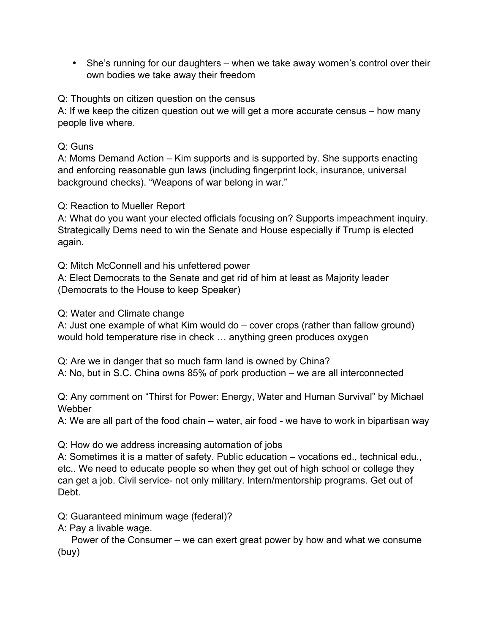• She's running for our daughters – when we take away women's control over their own bodies we take away their freedom

Q: Thoughts on citizen question on the census

A: If we keep the citizen question out we will get a more accurate census – how many people live where.

# Q: Guns

A: Moms Demand Action – Kim supports and is supported by. She supports enacting and enforcing reasonable gun laws (including fingerprint lock, insurance, universal background checks). "Weapons of war belong in war."

## Q: Reaction to Mueller Report

A: What do you want your elected officials focusing on? Supports impeachment inquiry. Strategically Dems need to win the Senate and House especially if Trump is elected again.

Q: Mitch McConnell and his unfettered power

A: Elect Democrats to the Senate and get rid of him at least as Majority leader (Democrats to the House to keep Speaker)

Q: Water and Climate change

A: Just one example of what Kim would do – cover crops (rather than fallow ground) would hold temperature rise in check … anything green produces oxygen

Q: Are we in danger that so much farm land is owned by China?

A: No, but in S.C. China owns 85% of pork production – we are all interconnected

Q: Any comment on "Thirst for Power: Energy, Water and Human Survival" by Michael Webber

A: We are all part of the food chain – water, air food - we have to work in bipartisan way

Q: How do we address increasing automation of jobs

A: Sometimes it is a matter of safety. Public education – vocations ed., technical edu., etc.. We need to educate people so when they get out of high school or college they can get a job. Civil service- not only military. Intern/mentorship programs. Get out of Debt.

Q: Guaranteed minimum wage (federal)?

A: Pay a livable wage.

 Power of the Consumer – we can exert great power by how and what we consume (buy)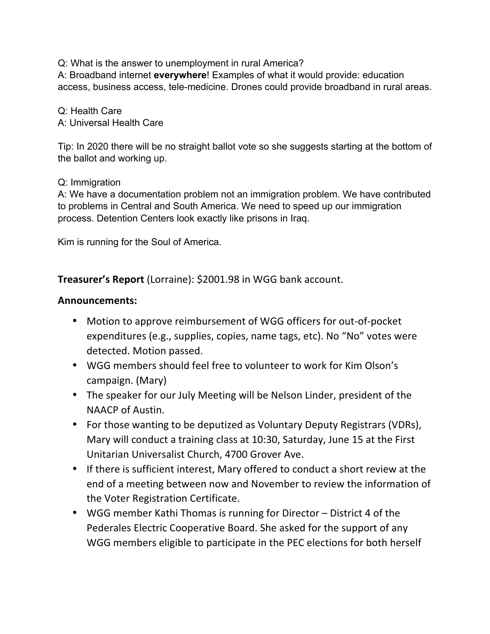Q: What is the answer to unemployment in rural America?

A: Broadband internet **everywhere**! Examples of what it would provide: education access, business access, tele-medicine. Drones could provide broadband in rural areas.

Q: Health Care A: Universal Health Care

Tip: In 2020 there will be no straight ballot vote so she suggests starting at the bottom of the ballot and working up.

### Q: Immigration

A: We have a documentation problem not an immigration problem. We have contributed to problems in Central and South America. We need to speed up our immigration process. Detention Centers look exactly like prisons in Iraq.

Kim is running for the Soul of America.

**Treasurer's Report** (Lorraine): \$2001.98 in WGG bank account.

### **Announcements:**

- Motion to approve reimbursement of WGG officers for out-of-pocket expenditures (e.g., supplies, copies, name tags, etc). No "No" votes were detected. Motion passed.
- WGG members should feel free to volunteer to work for Kim Olson's campaign. (Mary)
- The speaker for our July Meeting will be Nelson Linder, president of the NAACP of Austin.
- For those wanting to be deputized as Voluntary Deputy Registrars (VDRs), Mary will conduct a training class at 10:30, Saturday, June 15 at the First Unitarian Universalist Church, 4700 Grover Ave.
- If there is sufficient interest, Mary offered to conduct a short review at the end of a meeting between now and November to review the information of the Voter Registration Certificate.
- WGG member Kathi Thomas is running for Director District 4 of the Pederales Electric Cooperative Board. She asked for the support of any WGG members eligible to participate in the PEC elections for both herself